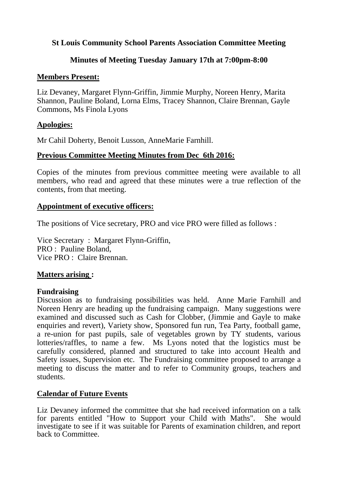## **St Louis Community School Parents Association Committee Meeting**

## **Minutes of Meeting Tuesday January 17th at 7:00pm-8:00**

### **Members Present:**

Liz Devaney, Margaret Flynn-Griffin, Jimmie Murphy, Noreen Henry, Marita Shannon, Pauline Boland, Lorna Elms, Tracey Shannon, Claire Brennan, Gayle Commons, Ms Finola Lyons

## **Apologies:**

Mr Cahil Doherty, Benoit Lusson, AnneMarie Farnhill.

## **Previous Committee Meeting Minutes from Dec 6th 2016:**

Copies of the minutes from previous committee meeting were available to all members, who read and agreed that these minutes were a true reflection of the contents, from that meeting.

## **Appointment of executive officers:**

The positions of Vice secretary, PRO and vice PRO were filled as follows :

Vice Secretary : Margaret Flynn-Griffin, PRO : Pauline Boland, Vice PRO : Claire Brennan.

# **Matters arising :**

### **Fundraising**

Discussion as to fundraising possibilities was held. Anne Marie Farnhill and Noreen Henry are heading up the fundraising campaign. Many suggestions were examined and discussed such as Cash for Clobber, (Jimmie and Gayle to make enquiries and revert), Variety show, Sponsored fun run, Tea Party, football game, a re-union for past pupils, sale of vegetables grown by TY students, various lotteries/raffles, to name a few. Ms Lyons noted that the logistics must be carefully considered, planned and structured to take into account Health and Safety issues, Supervision etc. The Fundraising committee proposed to arrange a meeting to discuss the matter and to refer to Community groups, teachers and students.

# **Calendar of Future Events**

Liz Devaney informed the committee that she had received information on a talk for parents entitled "How to Support your Child with Maths". She would investigate to see if it was suitable for Parents of examination children, and report back to Committee.